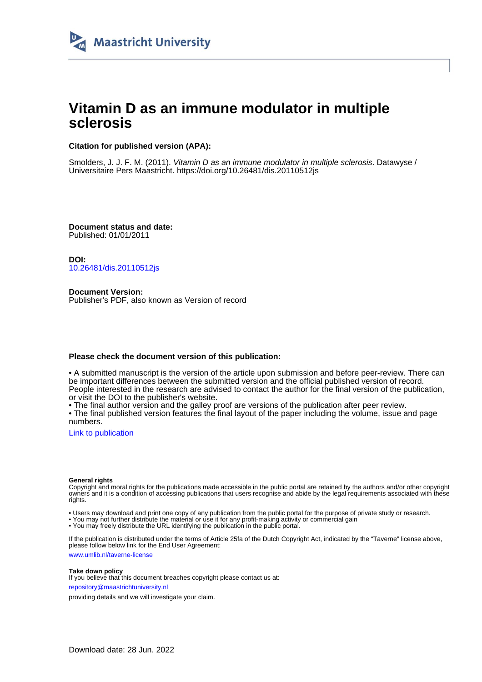

# **Vitamin D as an immune modulator in multiple sclerosis**

## **Citation for published version (APA):**

Smolders, J. J. F. M. (2011). Vitamin D as an immune modulator in multiple sclerosis. Datawyse / Universitaire Pers Maastricht.<https://doi.org/10.26481/dis.20110512js>

**Document status and date:** Published: 01/01/2011

**DOI:** [10.26481/dis.20110512js](https://doi.org/10.26481/dis.20110512js)

**Document Version:** Publisher's PDF, also known as Version of record

## **Please check the document version of this publication:**

• A submitted manuscript is the version of the article upon submission and before peer-review. There can be important differences between the submitted version and the official published version of record. People interested in the research are advised to contact the author for the final version of the publication, or visit the DOI to the publisher's website.

• The final author version and the galley proof are versions of the publication after peer review.

• The final published version features the final layout of the paper including the volume, issue and page numbers.

[Link to publication](https://cris.maastrichtuniversity.nl/en/publications/6d356e5c-08d3-474d-a6dd-e863739ef183)

#### **General rights**

Copyright and moral rights for the publications made accessible in the public portal are retained by the authors and/or other copyright owners and it is a condition of accessing publications that users recognise and abide by the legal requirements associated with these rights.

• Users may download and print one copy of any publication from the public portal for the purpose of private study or research.

• You may not further distribute the material or use it for any profit-making activity or commercial gain

• You may freely distribute the URL identifying the publication in the public portal.

If the publication is distributed under the terms of Article 25fa of the Dutch Copyright Act, indicated by the "Taverne" license above, please follow below link for the End User Agreement:

www.umlib.nl/taverne-license

#### **Take down policy**

If you believe that this document breaches copyright please contact us at: repository@maastrichtuniversity.nl

providing details and we will investigate your claim.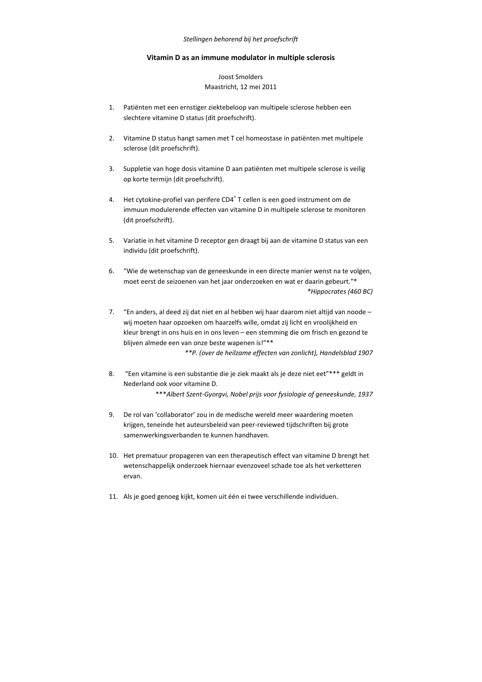#### *Stellingen behorend bij het proefschrift*

## **Vitamin D as an immune modulator in multiple sclerosis**

# Joost Smolders Maastricht, 12 mei 2011

- 1. Patiënten met een ernstiger ziektebeloop van multipele sclerose hebben een slechtere vitamine D status (dit proefschrift).
- 2. Vitamine D status hangt samen met T cel homeostase in patiënten met multipele sclerose (dit proefschrift).
- 3. Suppletie van hoge dosis vitamine D aan patiënten met multipele sclerose is veilig op korte termijn (dit proefschrift).
- 4. Het cytokine-profiel van perifere CD4<sup>+</sup> T cellen is een goed instrument om de immuun modulerende effecten van vitamine D in multipele sclerose te monitoren (dit proefschrift).
- 5. Variatie in het vitamine D receptor gen draagt bij aan de vitamine D status van een individu (dit proefschrift).
- 6. "Wie de wetenschap van de geneeskunde in een directe manier wenst na te volgen, moet eerst de seizoenen van het jaar onderzoeken en wat er daarin gebeurt."\* *\*Hippocrates (460 BC)*
- 7. "En anders, al deed zij dat niet en al hebben wij haar daarom niet altijd van noode wij moeten haar opzoeken om haarzelfs wille, omdat zij licht en vroolijkheid en kleur brengt in ons huis en in ons leven – een stemming die om frisch en gezond te blijven almede een van onze beste wapenen is!"\*\*

*\*\*P. (over de heilzame effecten van zonlicht), Handelsblad 1907* 

8. "Een vitamine is een substantie die je ziek maakt als je deze niet eet"\*\*\* geldt in Nederland ook voor vitamine D.

\*\*\**Albert Szent-Gyorgvi, Nobel prijs voor fysiologie of geneeskunde, 1937*

- 9. De rol van 'collaborator' zou in de medische wereld meer waardering moeten krijgen, teneinde het auteursbeleid van peer-reviewed tijdschriften bij grote samenwerkingsverbanden te kunnen handhaven.
- 10. Het prematuur propageren van een therapeutisch effect van vitamine D brengt het wetenschappelijk onderzoek hiernaar evenzoveel schade toe als het verketteren ervan.
- 11. Als je goed genoeg kijkt, komen uit één ei twee verschillende individuen.